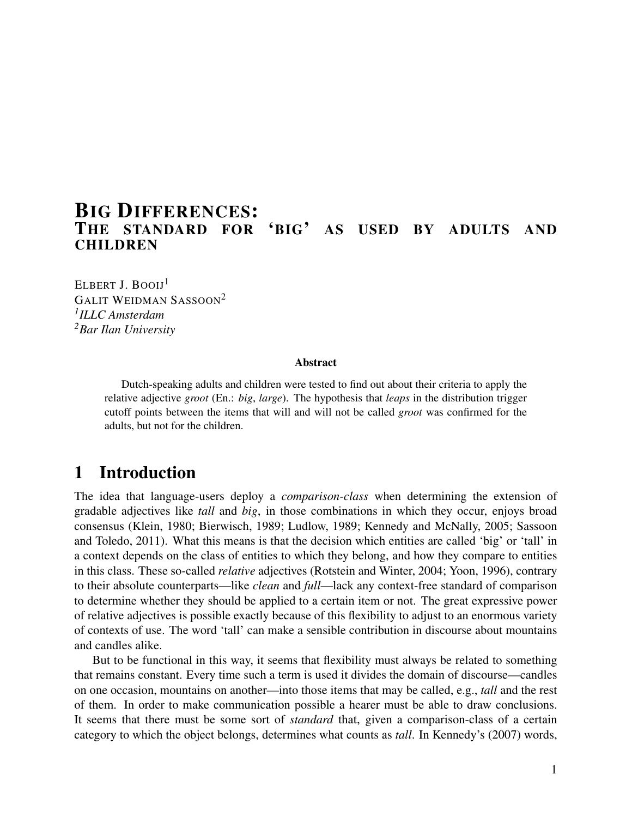# **BIG DIFFERENCES:**<br>THE STANDARD FOR 'BIG' AS USED BY ADULTS AND **CHILDREN**

ELBERT J. BOOIJ<sup>1</sup> GALIT WEIDMAN SASSOON<sup>2</sup> *1 ILLC Amsterdam <sup>2</sup>Bar Ilan University*

#### Abstract

Dutch-speaking adults and children were tested to find out about their criteria to apply the relative adjective *groot* (En.: *big*, *large*). The hypothesis that *leaps* in the distribution trigger cutoff points between the items that will and will not be called *groot* was confirmed for the adults, but not for the children.

# 1 Introduction

The idea that language-users deploy a *comparison-class* when determining the extension of gradable adjectives like *tall* and *big*, in those combinations in which they occur, enjoys broad consensus (Klein, 1980; Bierwisch, 1989; Ludlow, 1989; Kennedy and McNally, 2005; Sassoon and Toledo, 2011). What this means is that the decision which entities are called 'big' or 'tall' in a context depends on the class of entities to which they belong, and how they compare to entities in this class. These so-called *relative* adjectives (Rotstein and Winter, 2004; Yoon, 1996), contrary to their absolute counterparts—like *clean* and *full*—lack any context-free standard of comparison to determine whether they should be applied to a certain item or not. The great expressive power of relative adjectives is possible exactly because of this flexibility to adjust to an enormous variety of contexts of use. The word 'tall' can make a sensible contribution in discourse about mountains and candles alike.

But to be functional in this way, it seems that flexibility must always be related to something that remains constant. Every time such a term is used it divides the domain of discourse—candles on one occasion, mountains on another—into those items that may be called, e.g., *tall* and the rest of them. In order to make communication possible a hearer must be able to draw conclusions. It seems that there must be some sort of *standard* that, given a comparison-class of a certain category to which the object belongs, determines what counts as *tall*. In Kennedy's (2007) words,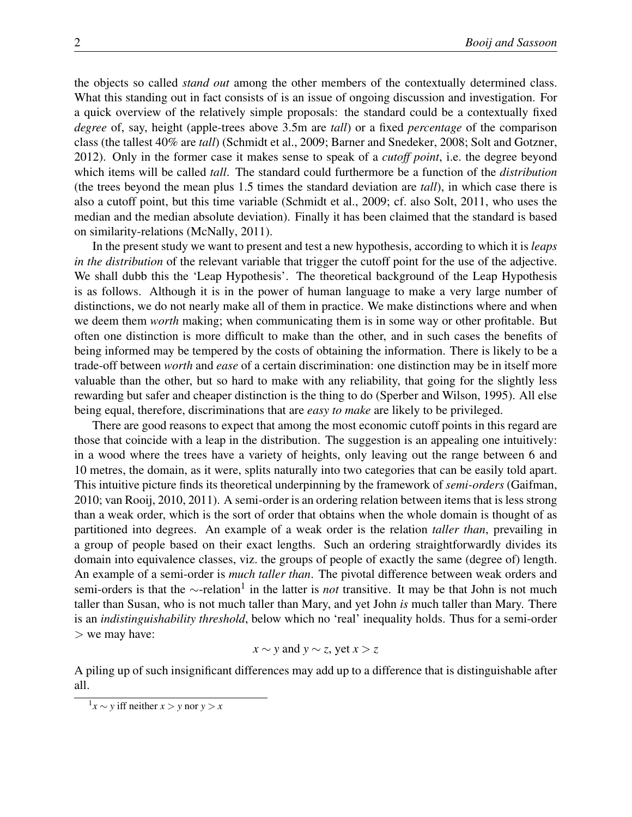the objects so called *stand out* among the other members of the contextually determined class. What this standing out in fact consists of is an issue of ongoing discussion and investigation. For a quick overview of the relatively simple proposals: the standard could be a contextually fixed *degree* of, say, height (apple-trees above 3.5m are *tall*) or a fixed *percentage* of the comparison class (the tallest 40% are *tall*) (Schmidt et al., 2009; Barner and Snedeker, 2008; Solt and Gotzner, 2012). Only in the former case it makes sense to speak of a *cutoff point*, i.e. the degree beyond which items will be called *tall*. The standard could furthermore be a function of the *distribution* (the trees beyond the mean plus 1.5 times the standard deviation are *tall*), in which case there is also a cutoff point, but this time variable (Schmidt et al., 2009; cf. also Solt, 2011, who uses the median and the median absolute deviation). Finally it has been claimed that the standard is based on similarity-relations (McNally, 2011).

In the present study we want to present and test a new hypothesis, according to which it is *leaps in the distribution* of the relevant variable that trigger the cutoff point for the use of the adjective. We shall dubb this the 'Leap Hypothesis'. The theoretical background of the Leap Hypothesis is as follows. Although it is in the power of human language to make a very large number of distinctions, we do not nearly make all of them in practice. We make distinctions where and when we deem them *worth* making; when communicating them is in some way or other profitable. But often one distinction is more difficult to make than the other, and in such cases the benefits of being informed may be tempered by the costs of obtaining the information. There is likely to be a trade-off between *worth* and *ease* of a certain discrimination: one distinction may be in itself more valuable than the other, but so hard to make with any reliability, that going for the slightly less rewarding but safer and cheaper distinction is the thing to do (Sperber and Wilson, 1995). All else being equal, therefore, discriminations that are *easy to make* are likely to be privileged.

There are good reasons to expect that among the most economic cutoff points in this regard are those that coincide with a leap in the distribution. The suggestion is an appealing one intuitively: in a wood where the trees have a variety of heights, only leaving out the range between 6 and 10 metres, the domain, as it were, splits naturally into two categories that can be easily told apart. This intuitive picture finds its theoretical underpinning by the framework of *semi-orders* (Gaifman, 2010; van Rooij, 2010, 2011). A semi-order is an ordering relation between items that is less strong than a weak order, which is the sort of order that obtains when the whole domain is thought of as partitioned into degrees. An example of a weak order is the relation *taller than*, prevailing in a group of people based on their exact lengths. Such an ordering straightforwardly divides its domain into equivalence classes, viz. the groups of people of exactly the same (degree of) length. An example of a semi-order is *much taller than*. The pivotal difference between weak orders and semi-orders is that the ∼-relation<sup>1</sup> in the latter is *not* transitive. It may be that John is not much taller than Susan, who is not much taller than Mary, and yet John *is* much taller than Mary. There is an *indistinguishability threshold*, below which no 'real' inequality holds. Thus for a semi-order > we may have:

$$
x \sim y
$$
 and  $y \sim z$ , yet  $x > z$ 

A piling up of such insignificant differences may add up to a difference that is distinguishable after all.

<sup>&</sup>lt;sup>1</sup> $x$  ∼ *y* iff neither  $x > y$  nor  $y > x$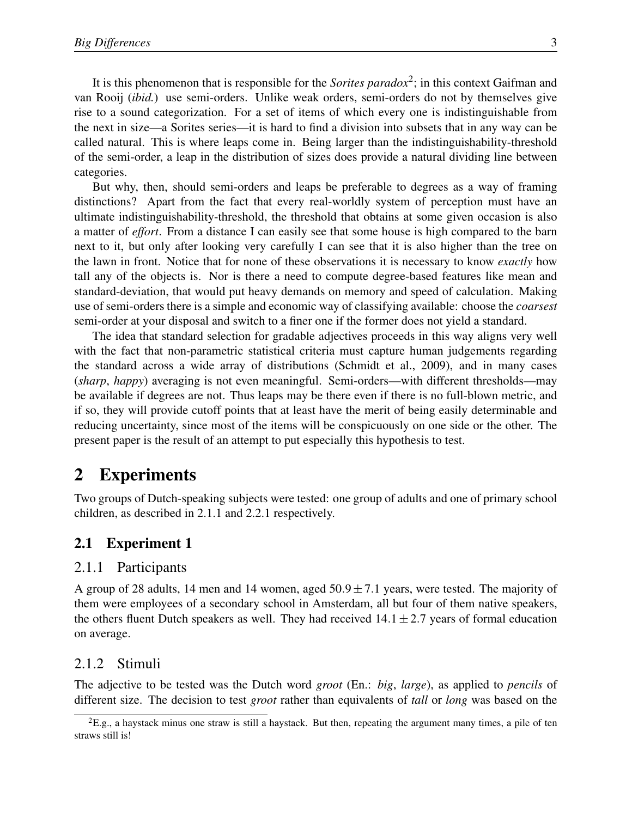It is this phenomenon that is responsible for the *Sorites paradox*<sup>2</sup>; in this context Gaifman and van Rooij (*ibid.*) use semi-orders. Unlike weak orders, semi-orders do not by themselves give rise to a sound categorization. For a set of items of which every one is indistinguishable from the next in size—a Sorites series—it is hard to find a division into subsets that in any way can be called natural. This is where leaps come in. Being larger than the indistinguishability-threshold of the semi-order, a leap in the distribution of sizes does provide a natural dividing line between categories.

But why, then, should semi-orders and leaps be preferable to degrees as a way of framing distinctions? Apart from the fact that every real-worldly system of perception must have an ultimate indistinguishability-threshold, the threshold that obtains at some given occasion is also a matter of *effort*. From a distance I can easily see that some house is high compared to the barn next to it, but only after looking very carefully I can see that it is also higher than the tree on the lawn in front. Notice that for none of these observations it is necessary to know *exactly* how tall any of the objects is. Nor is there a need to compute degree-based features like mean and standard-deviation, that would put heavy demands on memory and speed of calculation. Making use of semi-orders there is a simple and economic way of classifying available: choose the *coarsest* semi-order at your disposal and switch to a finer one if the former does not yield a standard.

The idea that standard selection for gradable adjectives proceeds in this way aligns very well with the fact that non-parametric statistical criteria must capture human judgements regarding the standard across a wide array of distributions (Schmidt et al., 2009), and in many cases (*sharp*, *happy*) averaging is not even meaningful. Semi-orders—with different thresholds—may be available if degrees are not. Thus leaps may be there even if there is no full-blown metric, and if so, they will provide cutoff points that at least have the merit of being easily determinable and reducing uncertainty, since most of the items will be conspicuously on one side or the other. The present paper is the result of an attempt to put especially this hypothesis to test.

# 2 Experiments

Two groups of Dutch-speaking subjects were tested: one group of adults and one of primary school children, as described in 2.1.1 and 2.2.1 respectively.

### 2.1 Experiment 1

#### 2.1.1 Participants

A group of 28 adults, 14 men and 14 women, aged  $50.9 \pm 7.1$  years, were tested. The majority of them were employees of a secondary school in Amsterdam, all but four of them native speakers, the others fluent Dutch speakers as well. They had received  $14.1 \pm 2.7$  years of formal education on average.

#### 2.1.2 Stimuli

The adjective to be tested was the Dutch word *groot* (En.: *big*, *large*), as applied to *pencils* of different size. The decision to test *groot* rather than equivalents of *tall* or *long* was based on the

 ${}^{2}E.g.,$  a haystack minus one straw is still a haystack. But then, repeating the argument many times, a pile of ten straws still is!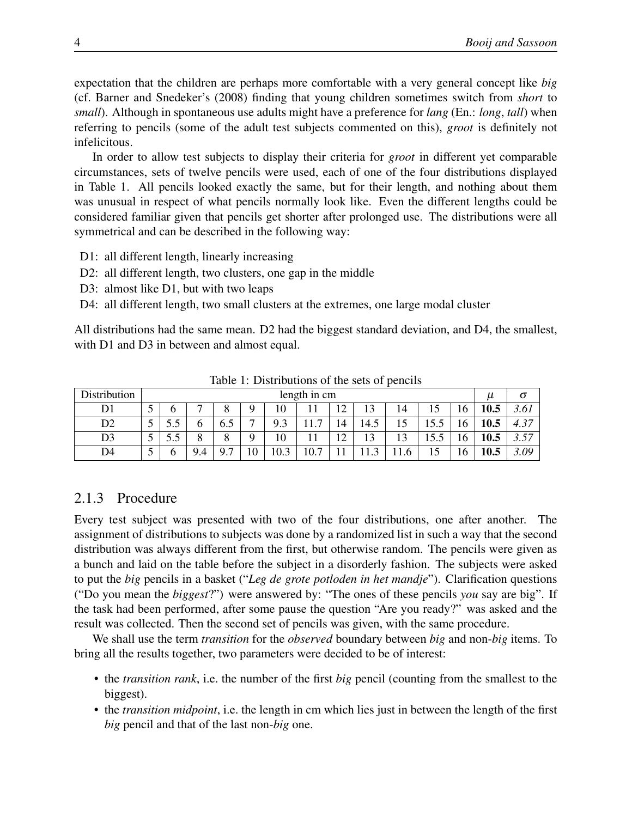expectation that the children are perhaps more comfortable with a very general concept like *big* (cf. Barner and Snedeker's (2008) finding that young children sometimes switch from *short* to *small*). Although in spontaneous use adults might have a preference for *lang* (En.: *long*, *tall*) when referring to pencils (some of the adult test subjects commented on this), *groot* is definitely not infelicitous.

In order to allow test subjects to display their criteria for *groot* in different yet comparable circumstances, sets of twelve pencils were used, each of one of the four distributions displayed in Table 1. All pencils looked exactly the same, but for their length, and nothing about them was unusual in respect of what pencils normally look like. Even the different lengths could be considered familiar given that pencils get shorter after prolonged use. The distributions were all symmetrical and can be described in the following way:

- D1: all different length, linearly increasing
- D2: all different length, two clusters, one gap in the middle
- D3: almost like D1, but with two leaps
- D4: all different length, two small clusters at the extremes, one large modal cluster

All distributions had the same mean. D2 had the biggest standard deviation, and D4, the smallest, with D1 and D3 in between and almost equal.

| <b>Distribution</b> | length in cm |      |                             |                          |     |                        |                     |         | $\mu$  | O  |      |    |      |                 |
|---------------------|--------------|------|-----------------------------|--------------------------|-----|------------------------|---------------------|---------|--------|----|------|----|------|-----------------|
|                     | F            |      | $\overline{ }$              | $\circ$<br>O             | Q   | 0                      |                     | 12<br>┸ | 13     | 14 | 15   | 16 | 10.5 | J.VI            |
| D2                  | -            | ر. ر | O                           | -<br>6.5                 | –   | Q<br>ں ،               | $\overline{ }$<br>. | 14      | 14.5   | ıυ | 15.5 | 16 | 10.5 | $\gamma$<br>T.J |
| D3                  |              | ر. ر | $\Omega$                    | $\circ$<br>O             | Q   | 10                     | -1                  | 12      | 13     | 12 | 15.5 | 16 | 10.5 | 57<br>، ب، ب    |
| D4                  | -            |      | Q<br>$\overline{4}$<br>╯. ౼ | $\Omega$<br>$\mathbf{r}$ | 1 V | $\mathbf{c}$<br>$\cap$ | 10.7                |         | $\sim$ |    | 15   | 16 | 10.5 | $\Omega$        |

Table 1: Distributions of the sets of pencils

### 2.1.3 Procedure

Every test subject was presented with two of the four distributions, one after another. The assignment of distributions to subjects was done by a randomized list in such a way that the second distribution was always different from the first, but otherwise random. The pencils were given as a bunch and laid on the table before the subject in a disorderly fashion. The subjects were asked to put the *big* pencils in a basket ("*Leg de grote potloden in het mandje*"). Clarification questions ("Do you mean the *biggest*?") were answered by: "The ones of these pencils *you* say are big". If the task had been performed, after some pause the question "Are you ready?" was asked and the result was collected. Then the second set of pencils was given, with the same procedure.

We shall use the term *transition* for the *observed* boundary between *big* and non-*big* items. To bring all the results together, two parameters were decided to be of interest:

- the *transition rank*, i.e. the number of the first *big* pencil (counting from the smallest to the biggest).
- the *transition midpoint*, i.e. the length in cm which lies just in between the length of the first *big* pencil and that of the last non-*big* one.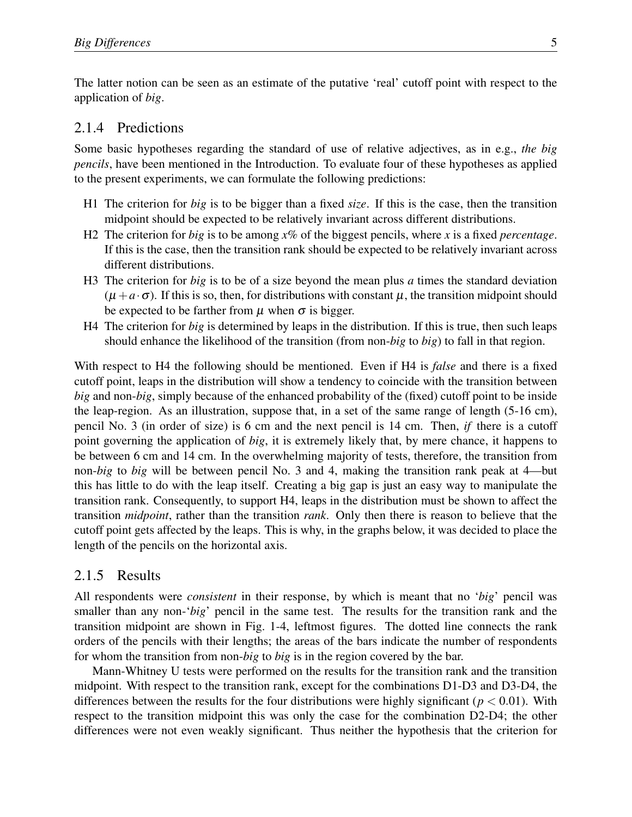The latter notion can be seen as an estimate of the putative 'real' cutoff point with respect to the application of *big*.

#### 2.1.4 Predictions

Some basic hypotheses regarding the standard of use of relative adjectives, as in e.g., *the big pencils*, have been mentioned in the Introduction. To evaluate four of these hypotheses as applied to the present experiments, we can formulate the following predictions:

- H1 The criterion for *big* is to be bigger than a fixed *size*. If this is the case, then the transition midpoint should be expected to be relatively invariant across different distributions.
- H2 The criterion for *big* is to be among *x*% of the biggest pencils, where *x* is a fixed *percentage*. If this is the case, then the transition rank should be expected to be relatively invariant across different distributions.
- H3 The criterion for *big* is to be of a size beyond the mean plus *a* times the standard deviation  $(\mu + a \cdot \sigma)$ . If this is so, then, for distributions with constant  $\mu$ , the transition midpoint should be expected to be farther from  $\mu$  when  $\sigma$  is bigger.
- H4 The criterion for *big* is determined by leaps in the distribution. If this is true, then such leaps should enhance the likelihood of the transition (from non-*big* to *big*) to fall in that region.

With respect to H4 the following should be mentioned. Even if H4 is *false* and there is a fixed cutoff point, leaps in the distribution will show a tendency to coincide with the transition between *big* and non-*big*, simply because of the enhanced probability of the (fixed) cutoff point to be inside the leap-region. As an illustration, suppose that, in a set of the same range of length (5-16 cm), pencil No. 3 (in order of size) is 6 cm and the next pencil is 14 cm. Then, *if* there is a cutoff point governing the application of *big*, it is extremely likely that, by mere chance, it happens to be between 6 cm and 14 cm. In the overwhelming majority of tests, therefore, the transition from non-*big* to *big* will be between pencil No. 3 and 4, making the transition rank peak at 4—but this has little to do with the leap itself. Creating a big gap is just an easy way to manipulate the transition rank. Consequently, to support H4, leaps in the distribution must be shown to affect the transition *midpoint*, rather than the transition *rank*. Only then there is reason to believe that the cutoff point gets affected by the leaps. This is why, in the graphs below, it was decided to place the length of the pencils on the horizontal axis.

#### 2.1.5 Results

All respondents were *consistent* in their response, by which is meant that no '*big*' pencil was smaller than any non-'*big*' pencil in the same test. The results for the transition rank and the transition midpoint are shown in Fig. 1-4, leftmost figures. The dotted line connects the rank orders of the pencils with their lengths; the areas of the bars indicate the number of respondents for whom the transition from non-*big* to *big* is in the region covered by the bar.

Mann-Whitney U tests were performed on the results for the transition rank and the transition midpoint. With respect to the transition rank, except for the combinations D1-D3 and D3-D4, the differences between the results for the four distributions were highly significant ( $p < 0.01$ ). With respect to the transition midpoint this was only the case for the combination D2-D4; the other differences were not even weakly significant. Thus neither the hypothesis that the criterion for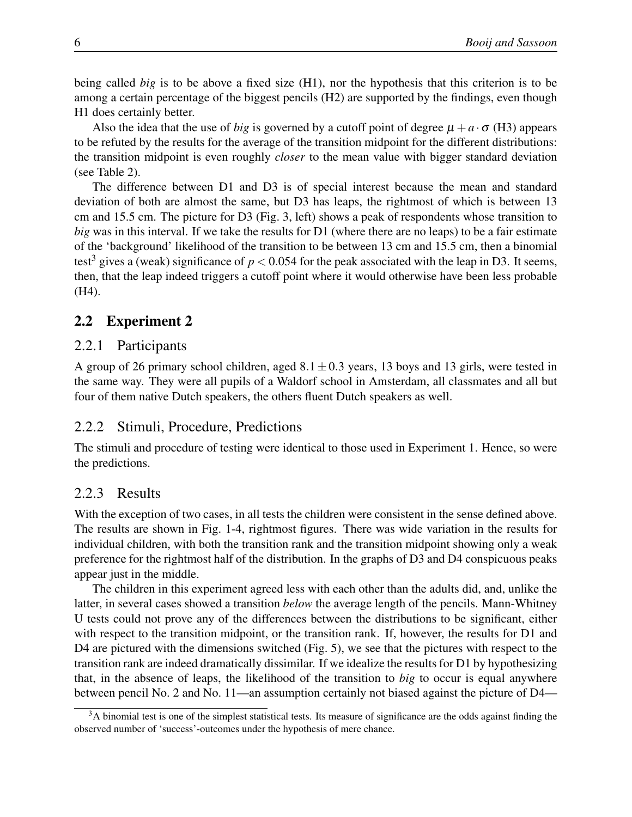being called *big* is to be above a fixed size (H1), nor the hypothesis that this criterion is to be among a certain percentage of the biggest pencils (H2) are supported by the findings, even though H1 does certainly better.

Also the idea that the use of *big* is governed by a cutoff point of degree  $\mu + a \cdot \sigma$  (H3) appears to be refuted by the results for the average of the transition midpoint for the different distributions: the transition midpoint is even roughly *closer* to the mean value with bigger standard deviation (see Table 2).

The difference between D1 and D3 is of special interest because the mean and standard deviation of both are almost the same, but D3 has leaps, the rightmost of which is between 13 cm and 15.5 cm. The picture for D3 (Fig. 3, left) shows a peak of respondents whose transition to *big* was in this interval. If we take the results for D1 (where there are no leaps) to be a fair estimate of the 'background' likelihood of the transition to be between 13 cm and 15.5 cm, then a binomial test<sup>3</sup> gives a (weak) significance of  $p < 0.054$  for the peak associated with the leap in D3. It seems, then, that the leap indeed triggers a cutoff point where it would otherwise have been less probable (H4).

## 2.2 Experiment 2

### 2.2.1 Participants

A group of 26 primary school children, aged  $8.1 \pm 0.3$  years, 13 boys and 13 girls, were tested in the same way. They were all pupils of a Waldorf school in Amsterdam, all classmates and all but four of them native Dutch speakers, the others fluent Dutch speakers as well.

### 2.2.2 Stimuli, Procedure, Predictions

The stimuli and procedure of testing were identical to those used in Experiment 1. Hence, so were the predictions.

### 2.2.3 Results

With the exception of two cases, in all tests the children were consistent in the sense defined above. The results are shown in Fig. 1-4, rightmost figures. There was wide variation in the results for individual children, with both the transition rank and the transition midpoint showing only a weak preference for the rightmost half of the distribution. In the graphs of D3 and D4 conspicuous peaks appear just in the middle.

The children in this experiment agreed less with each other than the adults did, and, unlike the latter, in several cases showed a transition *below* the average length of the pencils. Mann-Whitney U tests could not prove any of the differences between the distributions to be significant, either with respect to the transition midpoint, or the transition rank. If, however, the results for D1 and D4 are pictured with the dimensions switched (Fig. 5), we see that the pictures with respect to the transition rank are indeed dramatically dissimilar. If we idealize the results for D1 by hypothesizing that, in the absence of leaps, the likelihood of the transition to *big* to occur is equal anywhere between pencil No. 2 and No. 11—an assumption certainly not biased against the picture of D4—

 $3A$  binomial test is one of the simplest statistical tests. Its measure of significance are the odds against finding the observed number of 'success'-outcomes under the hypothesis of mere chance.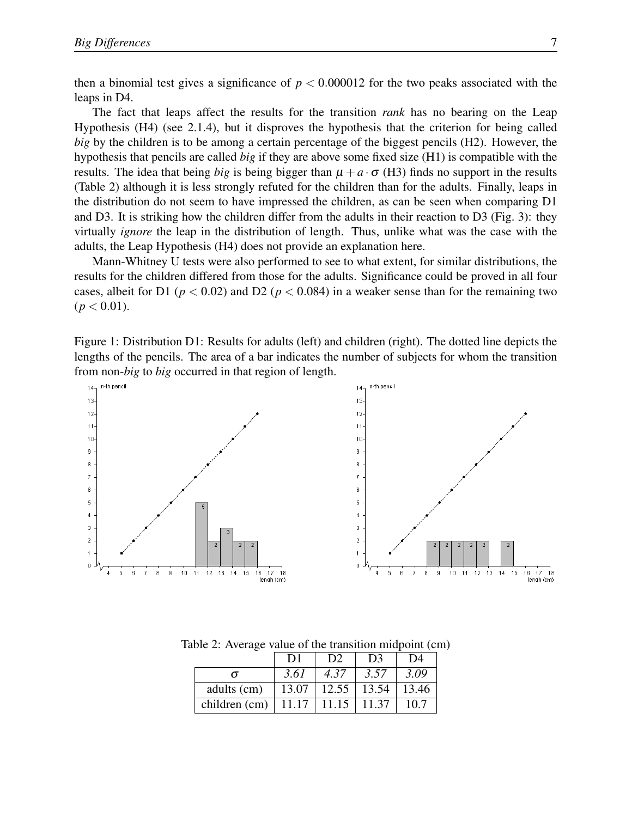then a binomial test gives a significance of  $p < 0.000012$  for the two peaks associated with the leaps in D4.

The fact that leaps affect the results for the transition *rank* has no bearing on the Leap Hypothesis (H4) (see 2.1.4), but it disproves the hypothesis that the criterion for being called *big* by the children is to be among a certain percentage of the biggest pencils (H2). However, the hypothesis that pencils are called *big* if they are above some fixed size (H1) is compatible with the results. The idea that being *big* is being bigger than  $\mu + a \cdot \sigma$  (H3) finds no support in the results (Table 2) although it is less strongly refuted for the children than for the adults. Finally, leaps in the distribution do not seem to have impressed the children, as can be seen when comparing D1 and D3. It is striking how the children differ from the adults in their reaction to D3 (Fig. 3): they virtually *ignore* the leap in the distribution of length. Thus, unlike what was the case with the adults, the Leap Hypothesis (H4) does not provide an explanation here.

Mann-Whitney U tests were also performed to see to what extent, for similar distributions, the results for the children differed from those for the adults. Significance could be proved in all four cases, albeit for D1 ( $p < 0.02$ ) and D2 ( $p < 0.084$ ) in a weaker sense than for the remaining two  $(p < 0.01)$ .

Figure 1: Distribution D1: Results for adults (left) and children (right). The dotted line depicts the lengths of the pencils. The area of a bar indicates the number of subjects for whom the transition from non-*big* to *big* occurred in that region of length.



|               | D <sub>1</sub> | D <sub>2</sub> | D <sub>3</sub> | D4    |
|---------------|----------------|----------------|----------------|-------|
| $\sigma$      | 3.61           | 4.37           | 3.57           | 3.09  |
| adults (cm)   | 13.07          | 12.55          | 13.54          | 13.46 |
| children (cm) | 11.17          | 11.15          | 11.37          | 10.7  |

Table 2: Average value of the transition midpoint (cm)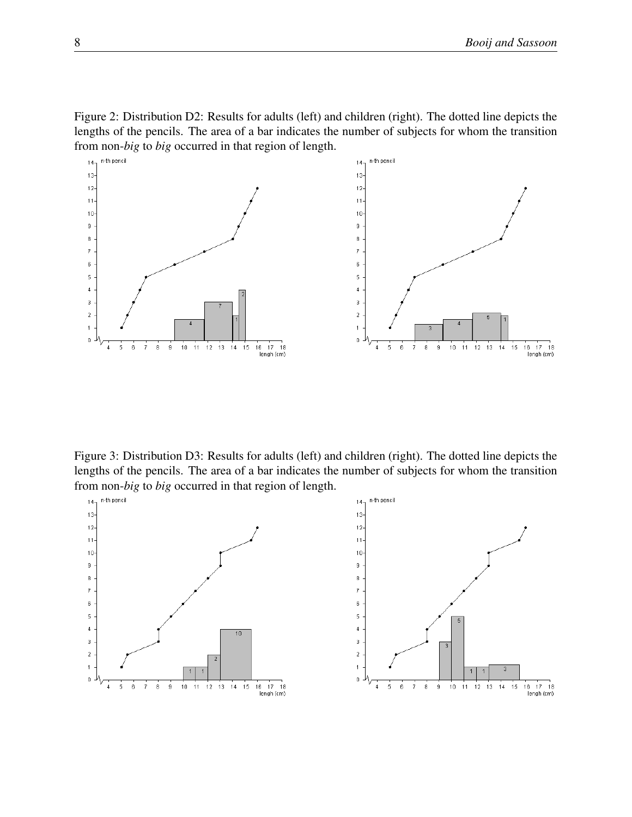



Figure 3: Distribution D3: Results for adults (left) and children (right). The dotted line depicts the lengths of the pencils. The area of a bar indicates the number of subjects for whom the transition from non-*big* to *big* occurred in that region of length.

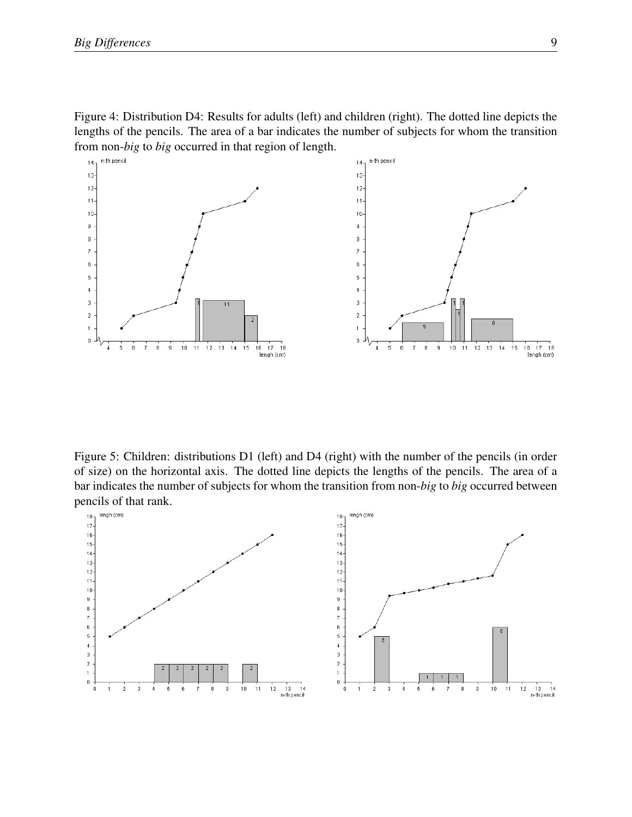Figure 4: Distribution D4: Results for adults (left) and children (right). The dotted line depicts the lengths of the pencils. The area of a bar indicates the number of subjects for whom the transition from non-*big* to *big* occurred in that region of length.



Figure 5: Children: distributions D1 (left) and D4 (right) with the number of the pencils (in order of size) on the horizontal axis. The dotted line depicts the lengths of the pencils. The area of a bar indicates the number of subjects for whom the transition from non-*big* to *big* occurred between pencils of that rank.

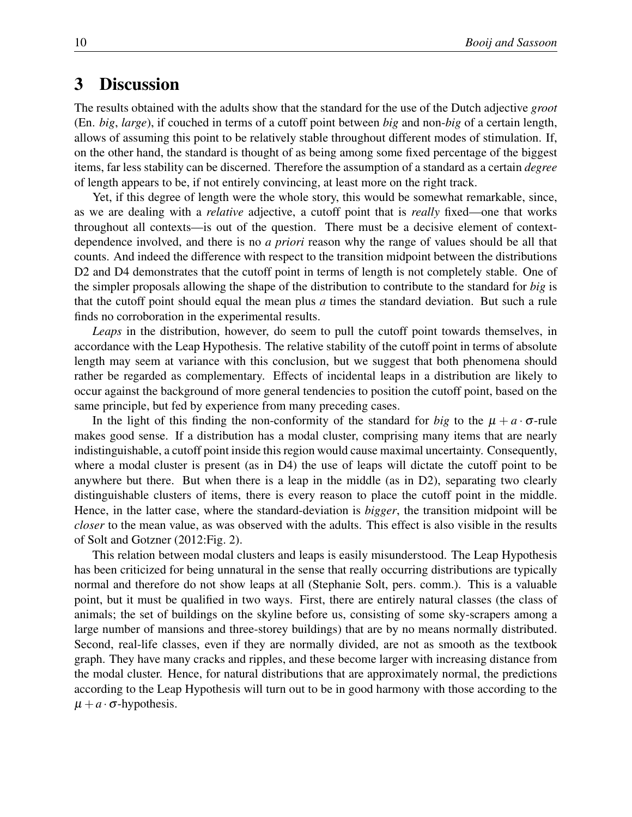# 3 Discussion

The results obtained with the adults show that the standard for the use of the Dutch adjective *groot* (En. *big*, *large*), if couched in terms of a cutoff point between *big* and non-*big* of a certain length, allows of assuming this point to be relatively stable throughout different modes of stimulation. If, on the other hand, the standard is thought of as being among some fixed percentage of the biggest items, far less stability can be discerned. Therefore the assumption of a standard as a certain *degree* of length appears to be, if not entirely convincing, at least more on the right track.

Yet, if this degree of length were the whole story, this would be somewhat remarkable, since, as we are dealing with a *relative* adjective, a cutoff point that is *really* fixed—one that works throughout all contexts—is out of the question. There must be a decisive element of contextdependence involved, and there is no *a priori* reason why the range of values should be all that counts. And indeed the difference with respect to the transition midpoint between the distributions D2 and D4 demonstrates that the cutoff point in terms of length is not completely stable. One of the simpler proposals allowing the shape of the distribution to contribute to the standard for *big* is that the cutoff point should equal the mean plus *a* times the standard deviation. But such a rule finds no corroboration in the experimental results.

*Leaps* in the distribution, however, do seem to pull the cutoff point towards themselves, in accordance with the Leap Hypothesis. The relative stability of the cutoff point in terms of absolute length may seem at variance with this conclusion, but we suggest that both phenomena should rather be regarded as complementary. Effects of incidental leaps in a distribution are likely to occur against the background of more general tendencies to position the cutoff point, based on the same principle, but fed by experience from many preceding cases.

In the light of this finding the non-conformity of the standard for *big* to the  $\mu + a \cdot \sigma$ -rule makes good sense. If a distribution has a modal cluster, comprising many items that are nearly indistinguishable, a cutoff point inside this region would cause maximal uncertainty. Consequently, where a modal cluster is present (as in D4) the use of leaps will dictate the cutoff point to be anywhere but there. But when there is a leap in the middle (as in D2), separating two clearly distinguishable clusters of items, there is every reason to place the cutoff point in the middle. Hence, in the latter case, where the standard-deviation is *bigger*, the transition midpoint will be *closer* to the mean value, as was observed with the adults. This effect is also visible in the results of Solt and Gotzner (2012:Fig. 2).

This relation between modal clusters and leaps is easily misunderstood. The Leap Hypothesis has been criticized for being unnatural in the sense that really occurring distributions are typically normal and therefore do not show leaps at all (Stephanie Solt, pers. comm.). This is a valuable point, but it must be qualified in two ways. First, there are entirely natural classes (the class of animals; the set of buildings on the skyline before us, consisting of some sky-scrapers among a large number of mansions and three-storey buildings) that are by no means normally distributed. Second, real-life classes, even if they are normally divided, are not as smooth as the textbook graph. They have many cracks and ripples, and these become larger with increasing distance from the modal cluster. Hence, for natural distributions that are approximately normal, the predictions according to the Leap Hypothesis will turn out to be in good harmony with those according to the  $\mu + a \cdot \sigma$ -hypothesis.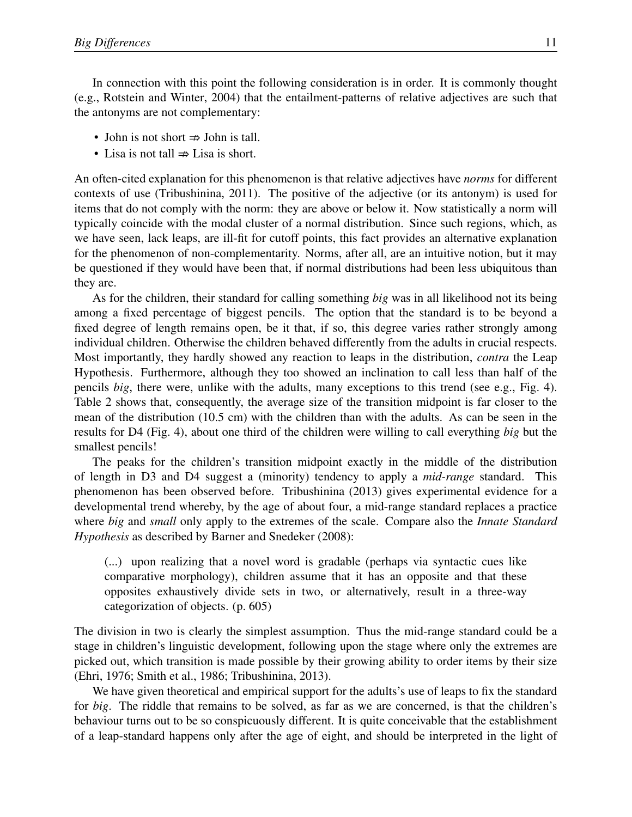In connection with this point the following consideration is in order. It is commonly thought (e.g., Rotstein and Winter, 2004) that the entailment-patterns of relative adjectives are such that the antonyms are not complementary:

- John is not short  $\Rightarrow$  John is tall.
- Lisa is not tall  $\Rightarrow$  Lisa is short.

An often-cited explanation for this phenomenon is that relative adjectives have *norms* for different contexts of use (Tribushinina, 2011). The positive of the adjective (or its antonym) is used for items that do not comply with the norm: they are above or below it. Now statistically a norm will typically coincide with the modal cluster of a normal distribution. Since such regions, which, as we have seen, lack leaps, are ill-fit for cutoff points, this fact provides an alternative explanation for the phenomenon of non-complementarity. Norms, after all, are an intuitive notion, but it may be questioned if they would have been that, if normal distributions had been less ubiquitous than they are.

As for the children, their standard for calling something *big* was in all likelihood not its being among a fixed percentage of biggest pencils. The option that the standard is to be beyond a fixed degree of length remains open, be it that, if so, this degree varies rather strongly among individual children. Otherwise the children behaved differently from the adults in crucial respects. Most importantly, they hardly showed any reaction to leaps in the distribution, *contra* the Leap Hypothesis. Furthermore, although they too showed an inclination to call less than half of the pencils *big*, there were, unlike with the adults, many exceptions to this trend (see e.g., Fig. 4). Table 2 shows that, consequently, the average size of the transition midpoint is far closer to the mean of the distribution (10.5 cm) with the children than with the adults. As can be seen in the results for D4 (Fig. 4), about one third of the children were willing to call everything *big* but the smallest pencils!

The peaks for the children's transition midpoint exactly in the middle of the distribution of length in D3 and D4 suggest a (minority) tendency to apply a *mid-range* standard. This phenomenon has been observed before. Tribushinina (2013) gives experimental evidence for a developmental trend whereby, by the age of about four, a mid-range standard replaces a practice where *big* and *small* only apply to the extremes of the scale. Compare also the *Innate Standard Hypothesis* as described by Barner and Snedeker (2008):

(...) upon realizing that a novel word is gradable (perhaps via syntactic cues like comparative morphology), children assume that it has an opposite and that these opposites exhaustively divide sets in two, or alternatively, result in a three-way categorization of objects. (p. 605)

The division in two is clearly the simplest assumption. Thus the mid-range standard could be a stage in children's linguistic development, following upon the stage where only the extremes are picked out, which transition is made possible by their growing ability to order items by their size (Ehri, 1976; Smith et al., 1986; Tribushinina, 2013).

We have given theoretical and empirical support for the adults's use of leaps to fix the standard for *big*. The riddle that remains to be solved, as far as we are concerned, is that the children's behaviour turns out to be so conspicuously different. It is quite conceivable that the establishment of a leap-standard happens only after the age of eight, and should be interpreted in the light of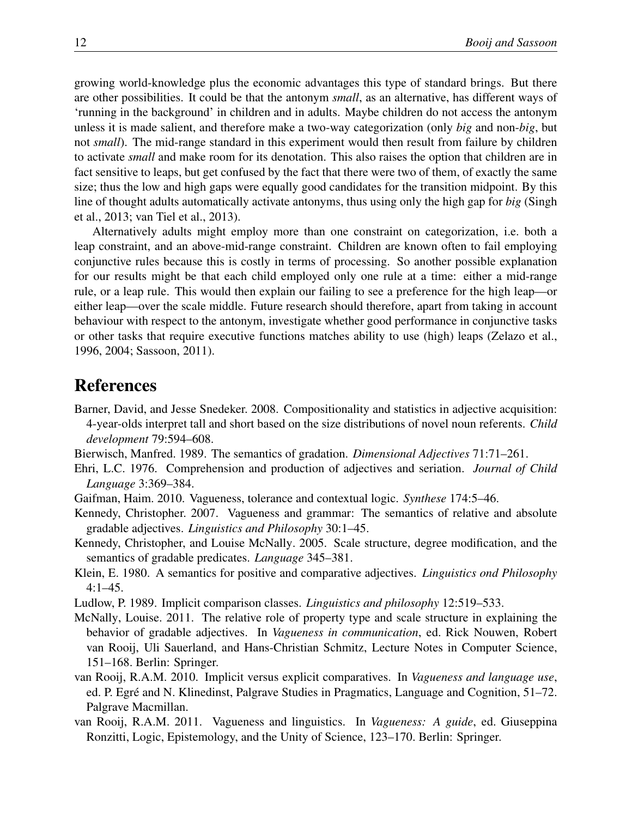growing world-knowledge plus the economic advantages this type of standard brings. But there are other possibilities. It could be that the antonym *small*, as an alternative, has different ways of 'running in the background' in children and in adults. Maybe children do not access the antonym unless it is made salient, and therefore make a two-way categorization (only *big* and non-*big*, but not *small*). The mid-range standard in this experiment would then result from failure by children to activate *small* and make room for its denotation. This also raises the option that children are in fact sensitive to leaps, but get confused by the fact that there were two of them, of exactly the same size; thus the low and high gaps were equally good candidates for the transition midpoint. By this line of thought adults automatically activate antonyms, thus using only the high gap for *big* (Singh et al., 2013; van Tiel et al., 2013).

Alternatively adults might employ more than one constraint on categorization, i.e. both a leap constraint, and an above-mid-range constraint. Children are known often to fail employing conjunctive rules because this is costly in terms of processing. So another possible explanation for our results might be that each child employed only one rule at a time: either a mid-range rule, or a leap rule. This would then explain our failing to see a preference for the high leap—or either leap—over the scale middle. Future research should therefore, apart from taking in account behaviour with respect to the antonym, investigate whether good performance in conjunctive tasks or other tasks that require executive functions matches ability to use (high) leaps (Zelazo et al., 1996, 2004; Sassoon, 2011).

## References

- Barner, David, and Jesse Snedeker. 2008. Compositionality and statistics in adjective acquisition: 4-year-olds interpret tall and short based on the size distributions of novel noun referents. *Child development* 79:594–608.
- Bierwisch, Manfred. 1989. The semantics of gradation. *Dimensional Adjectives* 71:71–261.
- Ehri, L.C. 1976. Comprehension and production of adjectives and seriation. *Journal of Child Language* 3:369–384.
- Gaifman, Haim. 2010. Vagueness, tolerance and contextual logic. *Synthese* 174:5–46.
- Kennedy, Christopher. 2007. Vagueness and grammar: The semantics of relative and absolute gradable adjectives. *Linguistics and Philosophy* 30:1–45.
- Kennedy, Christopher, and Louise McNally. 2005. Scale structure, degree modification, and the semantics of gradable predicates. *Language* 345–381.
- Klein, E. 1980. A semantics for positive and comparative adjectives. *Linguistics ond Philosophy* 4:1–45.
- Ludlow, P. 1989. Implicit comparison classes. *Linguistics and philosophy* 12:519–533.
- McNally, Louise. 2011. The relative role of property type and scale structure in explaining the behavior of gradable adjectives. In *Vagueness in communication*, ed. Rick Nouwen, Robert van Rooij, Uli Sauerland, and Hans-Christian Schmitz, Lecture Notes in Computer Science, 151–168. Berlin: Springer.
- van Rooij, R.A.M. 2010. Implicit versus explicit comparatives. In *Vagueness and language use*, ed. P. Egré and N. Klinedinst, Palgrave Studies in Pragmatics, Language and Cognition, 51–72. Palgrave Macmillan.
- van Rooij, R.A.M. 2011. Vagueness and linguistics. In *Vagueness: A guide*, ed. Giuseppina Ronzitti, Logic, Epistemology, and the Unity of Science, 123–170. Berlin: Springer.